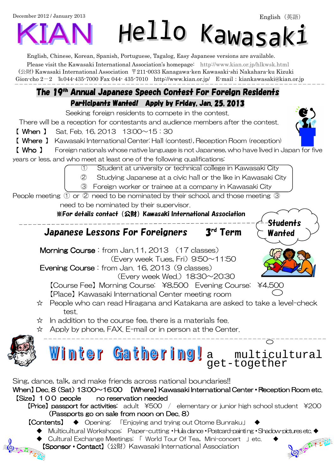December 2012 / January 2013

# Hello Kawasak:

S<del>t</del>udents **Wanted** 

English, Chinese, Korean, Spanish, Portuguese, Tagalog, Easy Japanese versions are available.

Please visit the Kawasaki International Association's homepage: http://www.kian.or.jp/hlkwsk.html (公財) Kawasaki International Association 〒211-0033 Kanagawa-ken Kawasaki-shi Nakahara-ku Kizuki Gion-cho  $2-2$  EL044-435-7000 Fax 044-435-7010 http://www.kian.or.jp/ E-mail:kiankawasaki@kian.or.jp F

### The 19<sup>th</sup> Annual Japanese Speech Contest For Foreign Residents Participants Wanted! Apply by Friday, Jan. 25, 2013

Seeking foreign residents to compete in the contest.

There will be a reception for contestants and audience members after the contest.

【 When 】 Sat. Feb. 16, 2013 13:00~15:30

【 Where 】 Kawasaki International Center: Hall (contest), Reception Room (reception)

【 Who 】 Foreign nationals whose native language is not Japanese, who have lived in Japan for five years or less, and who meet at least one of the following qualifications:

① Student at university or technical college in Kawasaki City

② Studying Japanese at a civic hall or the like in Kawasaki City

③ Foreign worker or trainee at a company in Kawasaki City

People meeting ① or ② need to be nominated by their school, and those meeting ③

need to be nominated by their supervisor.

※For details contact(公財)Kawasaki International Association

Japanese Lessons For Foreigners 3rd Term

Morning Course: from Jan.11, 2013 (17 classes) (Every week Tues, Fri)  $9.50 \sim 11.50$ 

Evening Course: from Jan. 16, 2013 (9 classes)

(Every week Wed.)  $18:30\sim20:30$ 

【Course Fee】Morning Course: \\$8,500 Evening Course: \\$4,500 【Place】Kawasaki International Center meeting room

- ☆ People who can read Hiragana and Katakana are asked to take a level-check test.
- ☆ In addition to the course fee, there is a materials fee.
- ☆ Apply by phone, FAX. E-mail or in person at the Center.



a multicultural get-together Sing, dance, talk, and make friends across national boundaries!!

When] Dec. 8  $(Sat)$  13:00~16:00 [Where] Kawasaki International Center • Reception Room etc. [Size] 100 people no reservation needed **[Price] passport for activities:** adult  $*500$  / elementary or junior high school student  $*200$ (Passports go on sale from noon on Dec.  $8$ )

- 【Contents】 ◆ Opening: 「Enjoying and trying out Otome Bunraku」
	-
- ◆ Multicultural Workshops: Paper-cutting •Hula dance •Postcard-painting •Shadow-pictures etc. ◆<br>← Cultural Exchange Meetings: 「World Tour Of Tea, Mini-concert 」etc. ◆<br>【Sponsor Contact】(公財) Kawasaki International Associa ◆ Cultural Exchange Meetings: 「 World Tour Of Tea, Mini-concert 」etc.  $\frac{1}{\sqrt{2}}$ 【Sponsor • Contact】(公財) Kawasaki International Association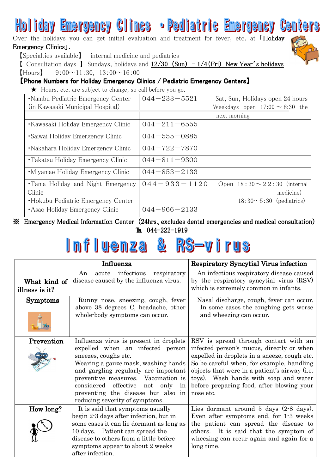# Holiday Emergency Clincs • Pediatric Emergency Centers

Over the holidays you can get initial evaluation and treatment for fever, etc. at FHoliday Emergency Clinics [.



[ Consultation days ] Sundays, holidays and  $12/30$  (Sun)  $-1/4$  (Fri) New Year's holidays

 $[$ Hours $]$  9:00 $\sim$ 11:30, 13:00 $\sim$ 16:00

### 【Phone Numbers for Holiday Emergency Clinics / Pediatric Emergency Centers】

★ Hours, etc. are subject to change, so call before you go.

| •Nambu Pediatric Emergency Center   | $044 - 233 - 5521$ | Sat, Sun, Holidays open 24 hours    |
|-------------------------------------|--------------------|-------------------------------------|
| (in Kawasaki Municipal Hospital)    |                    | Weekdays open $17:00 \sim 8:30$ the |
|                                     |                    | next morning                        |
| • Kawasaki Holiday Emergency Clinic | $044 - 211 - 6555$ |                                     |
| • Saiwai Holiday Emergency Clinic   | $044 - 555 - 0885$ |                                     |
| •Nakahara Holiday Emergency Clinic  | $044 - 722 - 7870$ |                                     |
| • Takatsu Holiday Emergency Clinic  | $044 - 811 - 9300$ |                                     |
| • Miyamae Holiday Emergency Clinic  | $044 - 853 - 2133$ |                                     |
| •Tama Holiday and Night Emergency   | $044 - 933 - 1120$ | Open $18:30 \sim 22:30$ (internal   |
| Clinic                              |                    | medicine)                           |
| •Hokubu Pediatric Emergency Center  |                    | $18:30 \sim 5:30$ (pediatrics)      |
| • Asao Holiday Emergency Clinic     | $044 - 966 - 2133$ |                                     |

 $\mathcal X$  Emergency Medical Information Center (24hrs, excludes dental emergencies and medical consultation) TEL 044-222-1919

#### Influenza  $\frac{\partial}{\partial t}$ RS-virus

|                                | Influenza                                                                                                                                                                                                                                                                                                                               | <b>Respiratory Syncytial Virus infection</b>                                                                                                                                                                                                                                                                                        |  |  |
|--------------------------------|-----------------------------------------------------------------------------------------------------------------------------------------------------------------------------------------------------------------------------------------------------------------------------------------------------------------------------------------|-------------------------------------------------------------------------------------------------------------------------------------------------------------------------------------------------------------------------------------------------------------------------------------------------------------------------------------|--|--|
| What kind of<br>illness is it? | infectious<br>acute<br>respiratory<br>An<br>disease caused by the influenza virus.                                                                                                                                                                                                                                                      | An infectious respiratory disease caused<br>by the respiratory syncytial virus (RSV)<br>which is extremely common in infants.                                                                                                                                                                                                       |  |  |
| <b>Symptoms</b>                | Runny nose, sneezing, cough, fever<br>above 38 degrees C, headache, other<br>whole-body symptoms can occur.                                                                                                                                                                                                                             | Nasal discharge, cough, fever can occur.<br>In some cases the coughing gets worse<br>and wheezing can occur.                                                                                                                                                                                                                        |  |  |
| Prevention                     | Influenza virus is present in droplets<br>expelled when an infected person<br>sneezes, coughs etc.<br>Wearing a gauze mask, washing hands<br>and gargling regularly are important<br>preventive measures. Vaccination is<br>considered effective<br>not only in<br>preventing the disease but also in<br>reducing severity of symptoms. | RSV is spread through contact with an<br>infected person's mucus, directly or when<br>expelled in droplets in a sneeze, cough etc.<br>So be careful when, for example, handling<br>objects that were in a patient's airway (i.e.<br>toys). Wash hands with soap and water<br>before preparing food, after blowing your<br>nose etc. |  |  |
| How long?                      | It is said that symptoms usually<br>begin 2-3 days after infection, but in<br>some cases it can lie dormant as long as<br>10 days. Patient can spread the<br>disease to others from a little before<br>symptoms appear to about 2 weeks<br>after infection.                                                                             | Lies dormant around $5$ days $(2-8$ days).<br>Even after symptoms end, for 1.3 weeks<br>the patient can spread the disease to<br>others. It is said that the symptom of<br>wheezing can recur again and again for a<br>long time.                                                                                                   |  |  |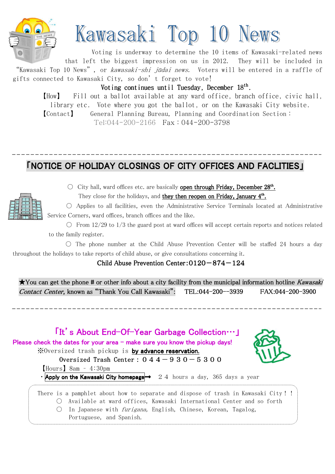

# Kawasaki Top 10 News

Voting is underway to determine the 10 items of Kawasaki-related news that left the biggest impression on us in 2012. They will be included in "Kawasaki Top 10 News", or *kawasaki-shi jūdai news.* Voters will be entered in a raffle of gifts connected to Kawasaki City, so don't forget to vote!

Voting continues until Tuesday, December  $18^{\text{th}}$ .

【How】 Fill out a ballot available at any ward office, branch office, civic hall, library etc. Vote where you got the ballot, or on the Kawasaki City website. 【Contact】 General Planning Bureau, Planning and Coordination Section:

Tel:044-200-2166 Fax:044-200-3798

# **FNOTICE OF HOLIDAY CLOSINGS OF CITY OFFICES AND FACLITIES I**



 $\overline{\phantom{a}}$ 

 $\overline{\phantom{a}}$ 

 $\circlearrowright$  City hall, ward offices etc. are basically open through Friday, December 28<sup>th</sup>.

They close for the holidays, and they then reopen on Friday, January 4<sup>th</sup>.

○ Applies to all facilities, even the Administrative Service Terminals located at Administrative Service Corners, ward offices, branch offices and the like.

 $\circ$  From 12/29 to 1/3 the guard post at ward offices will accept certain reports and notices related to the family register.

 $\circ$  The phone number at the Child Abuse Prevention Center will be staffed 24 hours a day throughout the holidays to take reports of child abuse, or give consultations concerning it.

Child Abuse Prevention Center: $0120 - 874 - 124$ 

 $\star$ You can get the phone # or other info about a city facility from the municipal information hotline Kawasaki Contact Center, known as "Thank You Call Kawasaki": TEL:044-200--3939 FAX:044-200-3900

## 「It's About End-Of-Year Garbage Collection…」 Please check the dates for your area – make sure you know the pickup days! ※Oversized trash pickup is by advance reservation. Oversized Trash Center:  $044-930-5300$ 【Hours】8am – 4:30pm • Apply on the Kawasaki City homepage  $\rightarrow$  24 hours a day, 365 days a year There is a pamphlet about how to separate and dispose of trash in Kawasaki City!! ○ Available at ward offices, Kawasaki International Center and so forth  $\bigcirc$  In Japanese with *furigana*, English, Chinese, Korean, Tagalog, Portuguese, and Spanish.